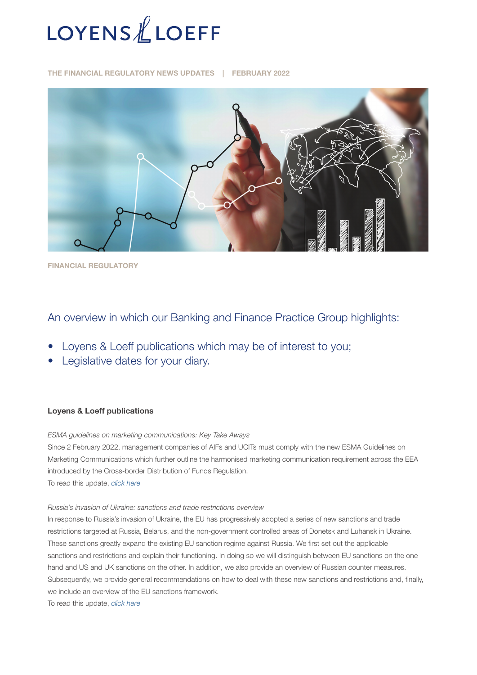

THE FINANCIAL REGULATORY NEWS UPDATES | FEBRUARY 2022



FINANCIAL REGULATORY

# An overview in which our Banking and Finance Practice Group highlights:

- Loyens & Loeff publications which may be of interest to you;
- Legislative dates for your diary.

#### Loyens & Loeff publications

*ESMA guidelines on marketing communications: Key Take Aways*

Since 2 February 2022, management companies of AIFs and UCITs must comply with the new ESMA Guidelines on Marketing Communications which further outline the harmonised marketing communication requirement across the EEA introduced by the Cross-border Distribution of Funds Regulation. To read this update, *[click here](https://www.loyensloeff.com/en/en/news/news-articles/esma-guidelines-on-marketing-communications-key-take-aways-n24795/)*

#### *Russia's invasion of Ukraine: sanctions and trade restrictions overview*

In response to Russia's invasion of Ukraine, the EU has progressively adopted a series of new sanctions and trade restrictions targeted at Russia, Belarus, and the non-government controlled areas of Donetsk and Luhansk in Ukraine. These sanctions greatly expand the existing EU sanction regime against Russia. We first set out the applicable sanctions and restrictions and explain their functioning. In doing so we will distinguish between EU sanctions on the one hand and US and UK sanctions on the other. In addition, we also provide an overview of Russian counter measures. Subsequently, we provide general recommendations on how to deal with these new sanctions and restrictions and, finally, we include an overview of the EU sanctions framework.

To read this update, *[click here](https://www.loyensloeff.com/en/en/news/news-articles/russia-s-invasion-of-ukraine-sanctions-and-trade-restrictions-overview-n24960/)*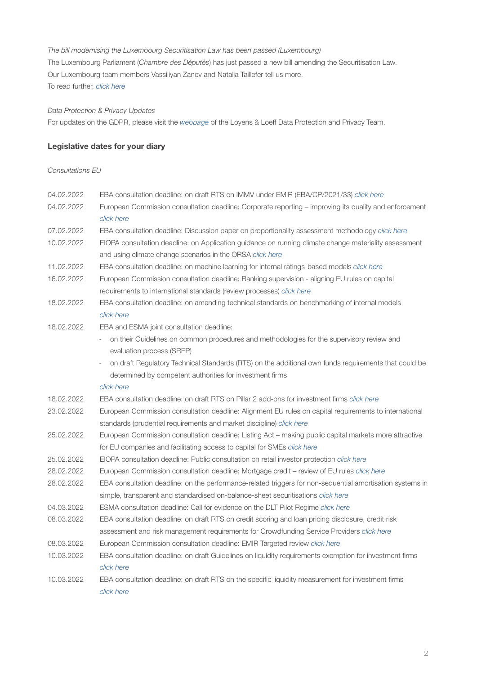### *The bill modernising the Luxembourg Securitisation Law has been passed (Luxembourg)*

The Luxembourg Parliament (*Chambre des Députés*) has just passed a new bill amending the Securitisation Law. Our Luxembourg team members Vassiliyan Zanev and Natalja Taillefer tell us more. To read further, *[click here](https://www.loyensloeff.com/lu/en/news/articles-and-newsflashes/the-bill-modernising-the-luxembourg-securitisation-law-has-been-passed-n24750/)*

#### *Data Protection & Privacy Updates*

For updates on the GDPR, please visit the *[webpage](https://www.loyensloeff.com/en/en/expertise/topics/data-protection-privacy/)* of the Loyens & Loeff Data Protection and Privacy Team.

### Legislative dates for your diary

#### *Consultations EU*

| 04.02.2022 | EBA consultation deadline: on draft RTS on IMMV under EMIR (EBA/CP/2021/33) click here                                                                           |
|------------|------------------------------------------------------------------------------------------------------------------------------------------------------------------|
| 04.02.2022 | European Commission consultation deadline: Corporate reporting - improving its quality and enforcement<br>click here                                             |
| 07.02.2022 | EBA consultation deadline: Discussion paper on proportionality assessment methodology click here                                                                 |
| 10.02.2022 | EIOPA consultation deadline: on Application guidance on running climate change materiality assessment                                                            |
|            | and using climate change scenarios in the ORSA click here                                                                                                        |
| 11.02.2022 | EBA consultation deadline: on machine learning for internal ratings-based models click here                                                                      |
| 16.02.2022 | European Commission consultation deadline: Banking supervision - aligning EU rules on capital                                                                    |
|            | requirements to international standards (review processes) click here                                                                                            |
| 18.02.2022 | EBA consultation deadline: on amending technical standards on benchmarking of internal models                                                                    |
|            | click here                                                                                                                                                       |
| 18.02.2022 | EBA and ESMA joint consultation deadline:                                                                                                                        |
|            | on their Guidelines on common procedures and methodologies for the supervisory review and                                                                        |
|            | evaluation process (SREP)                                                                                                                                        |
|            | $\overline{a}$                                                                                                                                                   |
|            | on draft Regulatory Technical Standards (RTS) on the additional own funds requirements that could be<br>determined by competent authorities for investment firms |
|            | click here                                                                                                                                                       |
| 18.02.2022 | EBA consultation deadline: on draft RTS on Pillar 2 add-ons for investment firms click here                                                                      |
| 23.02.2022 | European Commission consultation deadline: Alignment EU rules on capital requirements to international                                                           |
|            | standards (prudential requirements and market discipline) click here                                                                                             |
| 25.02.2022 | European Commission consultation deadline: Listing Act - making public capital markets more attractive                                                           |
|            | for EU companies and facilitating access to capital for SMEs click here                                                                                          |
| 25.02.2022 | EIOPA consultation deadline: Public consultation on retail investor protection click here                                                                        |
|            |                                                                                                                                                                  |
| 28.02.2022 | European Commission consultation deadline: Mortgage credit - review of EU rules click here                                                                       |
| 28.02.2022 | EBA consultation deadline: on the performance-related triggers for non-sequential amortisation systems in                                                        |
|            | simple, transparent and standardised on-balance-sheet securitisations click here                                                                                 |
| 04.03.2022 | ESMA consultation deadline: Call for evidence on the DLT Pilot Regime click here                                                                                 |
| 08.03.2022 | EBA consultation deadline: on draft RTS on credit scoring and loan pricing disclosure, credit risk                                                               |
|            | assessment and risk management requirements for Crowdfunding Service Providers click here                                                                        |
| 08.03.2022 | European Commission consultation deadline: EMIR Targeted review <i>click here</i>                                                                                |
| 10.03.2022 | EBA consultation deadline: on draft Guidelines on liquidity requirements exemption for investment firms                                                          |
|            | click here                                                                                                                                                       |
| 10.03.2022 | EBA consultation deadline: on draft RTS on the specific liquidity measurement for investment firms                                                               |
|            | click here                                                                                                                                                       |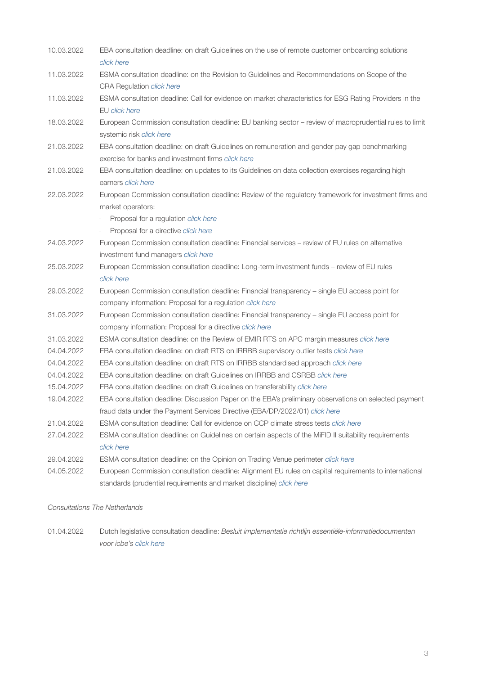| 10.03.2022 | EBA consultation deadline: on draft Guidelines on the use of remote customer onboarding solutions                                                                              |
|------------|--------------------------------------------------------------------------------------------------------------------------------------------------------------------------------|
|            | click here                                                                                                                                                                     |
| 11.03.2022 | ESMA consultation deadline: on the Revision to Guidelines and Recommendations on Scope of the<br>CRA Regulation click here                                                     |
| 11.03.2022 | ESMA consultation deadline: Call for evidence on market characteristics for ESG Rating Providers in the                                                                        |
|            | EU click here                                                                                                                                                                  |
| 18.03.2022 | European Commission consultation deadline: EU banking sector - review of macroprudential rules to limit<br>systemic risk click here                                            |
| 21.03.2022 | EBA consultation deadline: on draft Guidelines on remuneration and gender pay gap benchmarking                                                                                 |
|            | exercise for banks and investment firms click here                                                                                                                             |
| 21.03.2022 | EBA consultation deadline: on updates to its Guidelines on data collection exercises regarding high<br>earners click here                                                      |
| 22.03.2022 | European Commission consultation deadline: Review of the regulatory framework for investment firms and<br>market operators:                                                    |
|            | Proposal for a regulation click here                                                                                                                                           |
|            | Proposal for a directive click here<br>÷,                                                                                                                                      |
| 24.03.2022 | European Commission consultation deadline: Financial services - review of EU rules on alternative                                                                              |
|            | investment fund managers click here                                                                                                                                            |
| 25.03.2022 | European Commission consultation deadline: Long-term investment funds - review of EU rules                                                                                     |
|            | click here                                                                                                                                                                     |
| 29.03.2022 | European Commission consultation deadline: Financial transparency - single EU access point for                                                                                 |
|            | company information: Proposal for a regulation click here                                                                                                                      |
| 31.03.2022 | European Commission consultation deadline: Financial transparency - single EU access point for                                                                                 |
|            | company information: Proposal for a directive click here                                                                                                                       |
| 31.03.2022 | ESMA consultation deadline: on the Review of EMIR RTS on APC margin measures click here                                                                                        |
| 04.04.2022 | EBA consultation deadline: on draft RTS on IRRBB supervisory outlier tests click here                                                                                          |
| 04.04.2022 | EBA consultation deadline: on draft RTS on IRRBB standardised approach click here                                                                                              |
| 04.04.2022 | EBA consultation deadline: on draft Guidelines on IRRBB and CSRBB click here                                                                                                   |
| 15.04.2022 | EBA consultation deadline: on draft Guidelines on transferability click here                                                                                                   |
| 19.04.2022 | EBA consultation deadline: Discussion Paper on the EBA's preliminary observations on selected payment                                                                          |
|            | fraud data under the Payment Services Directive (EBA/DP/2022/01) click here                                                                                                    |
| 21.04.2022 | ESMA consultation deadline: Call for evidence on CCP climate stress tests click here                                                                                           |
| 27.04.2022 | ESMA consultation deadline: on Guidelines on certain aspects of the MiFID II suitability requirements                                                                          |
|            | click here                                                                                                                                                                     |
| 29.04.2022 | ESMA consultation deadline: on the Opinion on Trading Venue perimeter click here                                                                                               |
| 04.05.2022 | European Commission consultation deadline: Alignment EU rules on capital requirements to international<br>standards (prudential requirements and market discipline) click here |
|            |                                                                                                                                                                                |

#### *Consultations The Netherlands*

01.04.2022 Dutch legislative consultation deadline: *Besluit implementatie richtlijn essentiële-informatiedocumenten voor icbe's [click here](https://www.internetconsultatie.nl/%22essenti%C3%ABle-informatiedocument%22)*